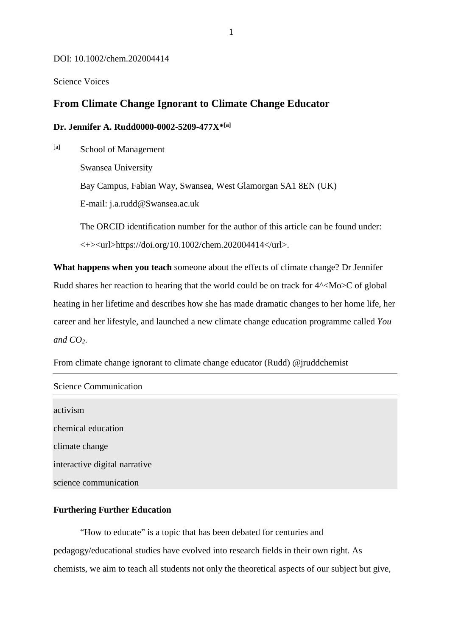#### DOI: 10.1002/chem.202004414

Science Voices

## **From Climate Change Ignorant to Climate Change Educator**

### **Dr. Jennifer A. Rudd0000-0002-5209-477X\*[a]**

[a] School of Management Swansea University Bay Campus, Fabian Way, Swansea, West Glamorgan SA1 8EN (UK) E-mail: j.a.rudd@Swansea.ac.uk

The ORCID identification number for the author of this article can be found under:  $\langle + \rangle$  < url >https://doi.org/10.1002/chem.202004414</url >.

**What happens when you teach** someone about the effects of climate change? Dr Jennifer Rudd shares her reaction to hearing that the world could be on track for  $4^{\wedge} <$ Mo $>$ C of global heating in her lifetime and describes how she has made dramatic changes to her home life, her career and her lifestyle, and launched a new climate change education programme called *You and CO2*.

From climate change ignorant to climate change educator (Rudd) @jruddchemist

| <b>Science Communication</b>  |  |  |
|-------------------------------|--|--|
|                               |  |  |
| activism                      |  |  |
| chemical education            |  |  |
| climate change                |  |  |
| interactive digital narrative |  |  |
| science communication         |  |  |

### **Furthering Further Education**

"How to educate" is a topic that has been debated for centuries and pedagogy/educational studies have evolved into research fields in their own right. As chemists, we aim to teach all students not only the theoretical aspects of our subject but give,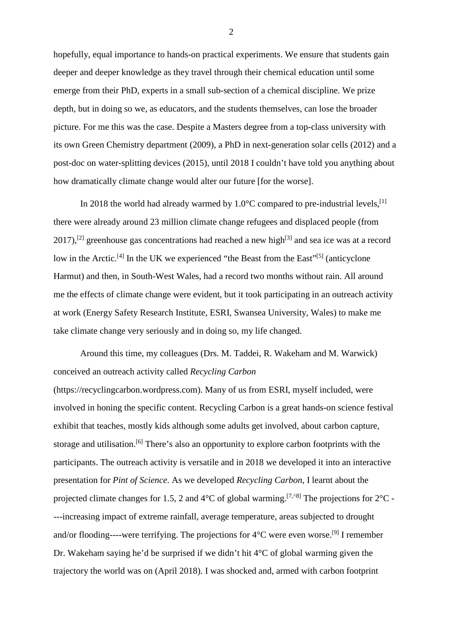hopefully, equal importance to hands-on practical experiments. We ensure that students gain deeper and deeper knowledge as they travel through their chemical education until some emerge from their PhD, experts in a small sub-section of a chemical discipline. We prize depth, but in doing so we, as educators, and the students themselves, can lose the broader picture. For me this was the case. Despite a Masters degree from a top-class university with its own Green Chemistry department (2009), a PhD in next-generation solar cells (2012) and a post-doc on water-splitting devices (2015), until 2018 I couldn't have told you anything about how dramatically climate change would alter our future [for the worse].

In 2018 the world had already warmed by  $1.0^{\circ}$ C compared to pre-industrial levels, <sup>[1]</sup> there were already around 23 million climate change refugees and displaced people (from 2017),<sup>[2]</sup> greenhouse gas concentrations had reached a new high<sup>[3]</sup> and sea ice was at a record low in the Arctic.<sup>[4]</sup> In the UK we experienced "the Beast from the East"<sup>[5]</sup> (anticyclone Harmut) and then, in South-West Wales, had a record two months without rain. All around me the effects of climate change were evident, but it took participating in an outreach activity at work (Energy Safety Research Institute, ESRI, Swansea University, Wales) to make me take climate change very seriously and in doing so, my life changed.

Around this time, my colleagues (Drs. M. Taddei, R. Wakeham and M. Warwick) conceived an outreach activity called *Recycling Carbon*

(https://recyclingcarbon.wordpress.com). Many of us from ESRI, myself included, were involved in honing the specific content. Recycling Carbon is a great hands-on science festival exhibit that teaches, mostly kids although some adults get involved, about carbon capture, storage and utilisation.<sup>[6]</sup> There's also an opportunity to explore carbon footprints with the participants. The outreach activity is versatile and in 2018 we developed it into an interactive presentation for *Pint of Science*. As we developed *Recycling Carbon*, I learnt about the projected climate changes for 1.5, 2 and  $4^{\circ}$ C of global warming.<sup>[7, $^{\circ}$ 8]</sup> The projections for  $2^{\circ}$ C ----increasing impact of extreme rainfall, average temperature, areas subjected to drought and/or flooding----were terrifying. The projections for  $4^{\circ}$ C were even worse.<sup>[9]</sup> I remember Dr. Wakeham saying he'd be surprised if we didn't hit 4°C of global warming given the trajectory the world was on (April 2018). I was shocked and, armed with carbon footprint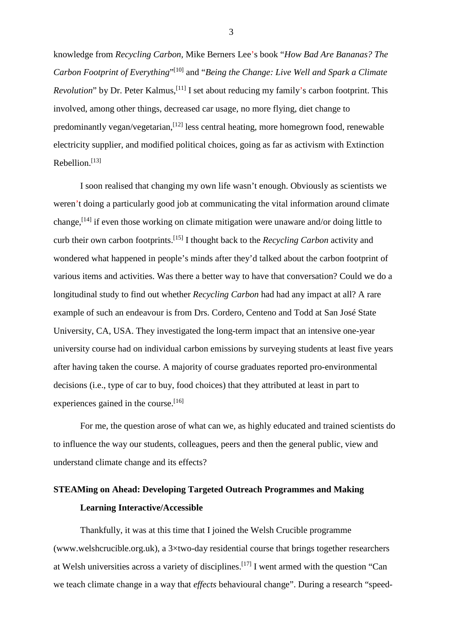knowledge from *Recycling Carbon,* Mike Berners Lee's book "*How Bad Are Bananas? The Carbon Footprint of Everything*"[10] and "*Being the Change: Live Well and Spark a Climate* Revolution" by Dr. Peter Kalmus,<sup>[11]</sup> I set about reducing my family's carbon footprint. This involved, among other things, decreased car usage, no more flying, diet change to predominantly vegan/vegetarian, <a>[12]</a> less central heating, more homegrown food, renewable electricity supplier, and modified political choices, going as far as activism with Extinction Rebellion.[13]

I soon realised that changing my own life wasn't enough. Obviously as scientists we weren't doing a particularly good job at communicating the vital information around climate change,<sup>[14]</sup> if even those working on climate mitigation were unaware and/or doing little to curb their own carbon footprints.[15] I thought back to the *Recycling Carbon* activity and wondered what happened in people's minds after they'd talked about the carbon footprint of various items and activities. Was there a better way to have that conversation? Could we do a longitudinal study to find out whether *Recycling Carbon* had had any impact at all? A rare example of such an endeavour is from Drs. Cordero, Centeno and Todd at San José State University, CA, USA. They investigated the long-term impact that an intensive one-year university course had on individual carbon emissions by surveying students at least five years after having taken the course. A majority of course graduates reported pro-environmental decisions (i.e., type of car to buy, food choices) that they attributed at least in part to experiences gained in the course.<sup>[16]</sup>

For me, the question arose of what can we, as highly educated and trained scientists do to influence the way our students, colleagues, peers and then the general public, view and understand climate change and its effects?

# **STEAMing on Ahead: Developing Targeted Outreach Programmes and Making Learning Interactive/Accessible**

Thankfully, it was at this time that I joined the Welsh Crucible programme (www.welshcrucible.org.uk), a 3×two-day residential course that brings together researchers at Welsh universities across a variety of disciplines.[17] I went armed with the question "Can we teach climate change in a way that *effects* behavioural change". During a research "speed-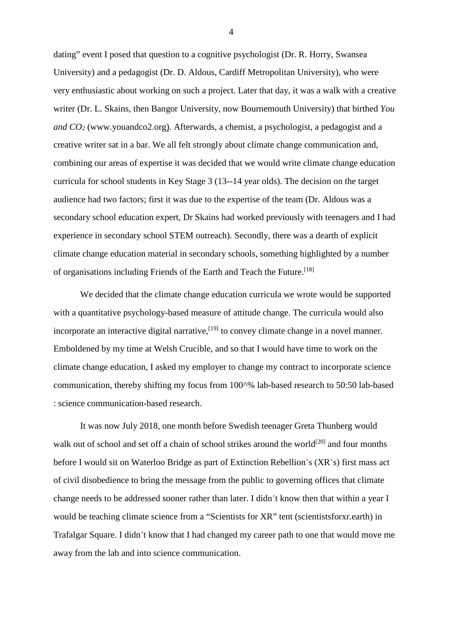dating" event I posed that question to a cognitive psychologist (Dr. R. Horry, Swansea University) and a pedagogist (Dr. D. Aldous, Cardiff Metropolitan University), who were very enthusiastic about working on such a project. Later that day, it was a walk with a creative writer (Dr. L. Skains, then Bangor University, now Bournemouth University) that birthed *You and CO2* (www.youandco2.org). Afterwards, a chemist, a psychologist, a pedagogist and a creative writer sat in a bar. We all felt strongly about climate change communication and, combining our areas of expertise it was decided that we would write climate change education curricula for school students in Key Stage 3 (13--14 year olds). The decision on the target audience had two factors; first it was due to the expertise of the team (Dr. Aldous was a secondary school education expert, Dr Skains had worked previously with teenagers and I had experience in secondary school STEM outreach). Secondly, there was a dearth of explicit climate change education material in secondary schools, something highlighted by a number of organisations including Friends of the Earth and Teach the Future.[18]

We decided that the climate change education curricula we wrote would be supported with a quantitative psychology-based measure of attitude change. The curricula would also incorporate an interactive digital narrative, <a>[19]</a> to convey climate change in a novel manner. Emboldened by my time at Welsh Crucible, and so that I would have time to work on the climate change education, I asked my employer to change my contract to incorporate science communication, thereby shifting my focus from 100^% lab-based research to 50:50 lab-based : science communication-based research.

It was now July 2018, one month before Swedish teenager Greta Thunberg would walk out of school and set off a chain of school strikes around the world<sup>[20]</sup> and four months before I would sit on Waterloo Bridge as part of Extinction Rebellion's (XR's) first mass act of civil disobedience to bring the message from the public to governing offices that climate change needs to be addressed sooner rather than later. I didn't know then that within a year I would be teaching climate science from a "Scientists for XR" tent (scientistsforxr.earth) in Trafalgar Square. I didn't know that I had changed my career path to one that would move me away from the lab and into science communication.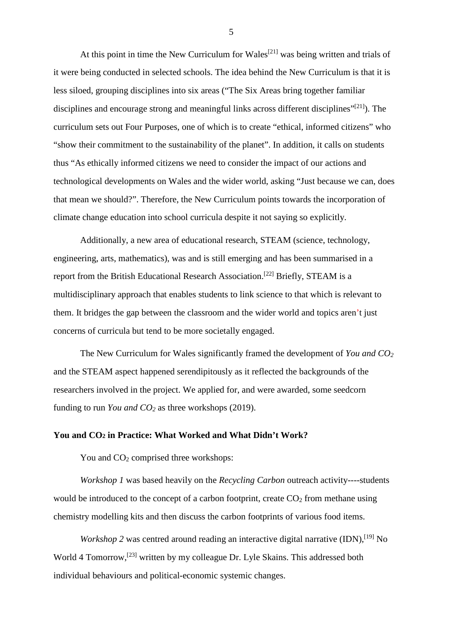At this point in time the New Curriculum for Wales<sup>[21]</sup> was being written and trials of it were being conducted in selected schools. The idea behind the New Curriculum is that it is less siloed, grouping disciplines into six areas ("The Six Areas bring together familiar disciplines and encourage strong and meaningful links across different disciplines"<sup>[21]</sup>). The curriculum sets out Four Purposes, one of which is to create "ethical, informed citizens" who "show their commitment to the sustainability of the planet". In addition, it calls on students thus "As ethically informed citizens we need to consider the impact of our actions and technological developments on Wales and the wider world, asking "Just because we can, does that mean we should?". Therefore, the New Curriculum points towards the incorporation of climate change education into school curricula despite it not saying so explicitly.

Additionally, a new area of educational research, STEAM (science, technology, engineering, arts, mathematics), was and is still emerging and has been summarised in a report from the British Educational Research Association.[22] Briefly, STEAM is a multidisciplinary approach that enables students to link science to that which is relevant to them. It bridges the gap between the classroom and the wider world and topics aren't just concerns of curricula but tend to be more societally engaged.

The New Curriculum for Wales significantly framed the development of *You and CO2* and the STEAM aspect happened serendipitously as it reflected the backgrounds of the researchers involved in the project. We applied for, and were awarded, some seedcorn funding to run *You and CO2* as three workshops (2019).

### **You and CO2 in Practice: What Worked and What Didn't Work?**

You and  $CO<sub>2</sub>$  comprised three workshops:

*Workshop 1* was based heavily on the *Recycling Carbon* outreach activity----students would be introduced to the concept of a carbon footprint, create  $CO<sub>2</sub>$  from methane using chemistry modelling kits and then discuss the carbon footprints of various food items.

*Workshop* 2 was centred around reading an interactive digital narrative (IDN),<sup>[19]</sup> No World 4 Tomorrow,<sup>[23]</sup> written by my colleague Dr. Lyle Skains. This addressed both individual behaviours and political-economic systemic changes.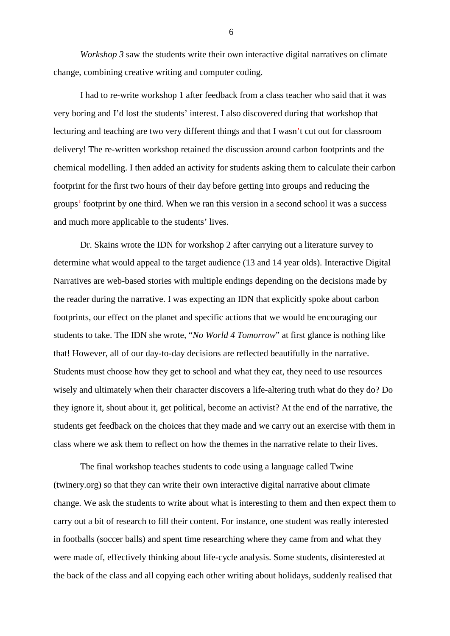*Workshop* 3 saw the students write their own interactive digital narratives on climate change, combining creative writing and computer coding.

I had to re-write workshop 1 after feedback from a class teacher who said that it was very boring and I'd lost the students' interest. I also discovered during that workshop that lecturing and teaching are two very different things and that I wasn't cut out for classroom delivery! The re-written workshop retained the discussion around carbon footprints and the chemical modelling. I then added an activity for students asking them to calculate their carbon footprint for the first two hours of their day before getting into groups and reducing the groups' footprint by one third. When we ran this version in a second school it was a success and much more applicable to the students' lives.

Dr. Skains wrote the IDN for workshop 2 after carrying out a literature survey to determine what would appeal to the target audience (13 and 14 year olds). Interactive Digital Narratives are web-based stories with multiple endings depending on the decisions made by the reader during the narrative. I was expecting an IDN that explicitly spoke about carbon footprints, our effect on the planet and specific actions that we would be encouraging our students to take. The IDN she wrote, "*No World 4 Tomorrow*" at first glance is nothing like that! However, all of our day-to-day decisions are reflected beautifully in the narrative. Students must choose how they get to school and what they eat, they need to use resources wisely and ultimately when their character discovers a life-altering truth what do they do? Do they ignore it, shout about it, get political, become an activist? At the end of the narrative, the students get feedback on the choices that they made and we carry out an exercise with them in class where we ask them to reflect on how the themes in the narrative relate to their lives.

The final workshop teaches students to code using a language called Twine (twinery.org) so that they can write their own interactive digital narrative about climate change. We ask the students to write about what is interesting to them and then expect them to carry out a bit of research to fill their content. For instance, one student was really interested in footballs (soccer balls) and spent time researching where they came from and what they were made of, effectively thinking about life-cycle analysis. Some students, disinterested at the back of the class and all copying each other writing about holidays, suddenly realised that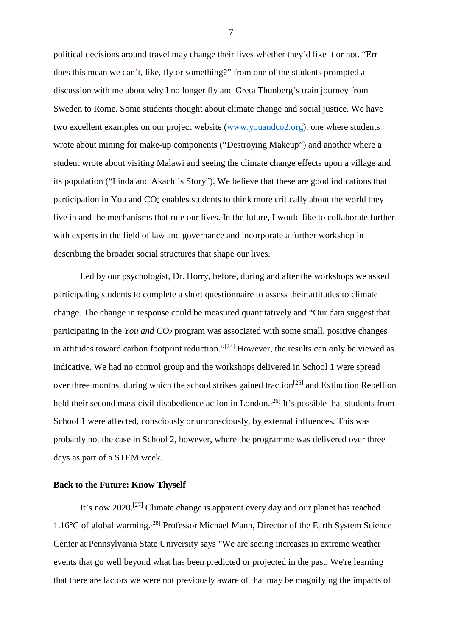political decisions around travel may change their lives whether they'd like it or not. "Err does this mean we can't, like, fly or something?" from one of the students prompted a discussion with me about why I no longer fly and Greta Thunberg's train journey from Sweden to Rome. Some students thought about climate change and social justice. We have two excellent examples on our project website [\(www.youandco2.org\)](http://www.youandco2.org/), one where students wrote about mining for make-up components ("Destroying Makeup") and another where a student wrote about visiting Malawi and seeing the climate change effects upon a village and its population ("Linda and Akachi's Story"). We believe that these are good indications that participation in You and  $CO<sub>2</sub>$  enables students to think more critically about the world they live in and the mechanisms that rule our lives. In the future, I would like to collaborate further with experts in the field of law and governance and incorporate a further workshop in describing the broader social structures that shape our lives.

Led by our psychologist, Dr. Horry, before, during and after the workshops we asked participating students to complete a short questionnaire to assess their attitudes to climate change. The change in response could be measured quantitatively and "Our data suggest that participating in the *You and CO2* program was associated with some small, positive changes in attitudes toward carbon footprint reduction." $[24]$  However, the results can only be viewed as indicative. We had no control group and the workshops delivered in School 1 were spread over three months, during which the school strikes gained traction<sup>[25]</sup> and Extinction Rebellion held their second mass civil disobedience action in London.<sup>[26]</sup> It's possible that students from School 1 were affected, consciously or unconsciously, by external influences. This was probably not the case in School 2, however, where the programme was delivered over three days as part of a STEM week.

### **Back to the Future: Know Thyself**

It's now 2020.[27] Climate change is apparent every day and our planet has reached 1.16°C of global warming.[28] Professor Michael Mann, Director of the Earth System Science Center at Pennsylvania State University says *"*We are seeing increases in extreme weather events that go well beyond what has been predicted or projected in the past. We're learning that there are factors we were not previously aware of that may be magnifying the impacts of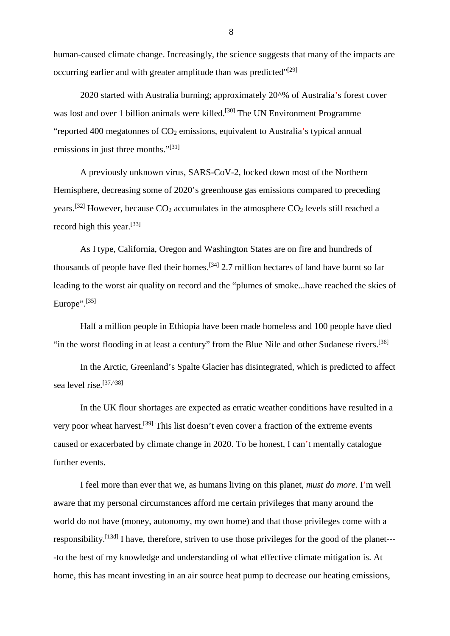human-caused climate change. Increasingly, the science suggests that many of the impacts are occurring earlier and with greater amplitude than was predicted"[29]

2020 started with Australia burning; approximately 20^% of Australia's forest cover was lost and over 1 billion animals were killed.<sup>[30]</sup> The UN Environment Programme "reported 400 megatonnes of  $CO<sub>2</sub>$  emissions, equivalent to Australia's typical annual emissions in just three months."<sup>[31]</sup>

A previously unknown virus, SARS-CoV-2, locked down most of the Northern Hemisphere, decreasing some of 2020's greenhouse gas emissions compared to preceding vears.<sup>[32]</sup> However, because  $CO_2$  accumulates in the atmosphere  $CO_2$  levels still reached a record high this year.[33]

As I type, California, Oregon and Washington States are on fire and hundreds of thousands of people have fled their homes.<sup>[34]</sup> 2.7 million hectares of land have burnt so far leading to the worst air quality on record and the "plumes of smoke...have reached the skies of Europe".<sup>[35]</sup>

Half a million people in Ethiopia have been made homeless and 100 people have died "in the worst flooding in at least a century" from the Blue Nile and other Sudanese rivers.[36]

In the Arctic, Greenland's Spalte Glacier has disintegrated, which is predicted to affect sea level rise.<sup>[37,^38]</sup>

In the UK flour shortages are expected as erratic weather conditions have resulted in a very poor wheat harvest.[39] This list doesn't even cover a fraction of the extreme events caused or exacerbated by climate change in 2020. To be honest, I can't mentally catalogue further events.

I feel more than ever that we, as humans living on this planet, *must do more*. I'm well aware that my personal circumstances afford me certain privileges that many around the world do not have (money, autonomy, my own home) and that those privileges come with a responsibility.<sup>[13d]</sup> I have, therefore, striven to use those privileges for the good of the planet----to the best of my knowledge and understanding of what effective climate mitigation is. At home, this has meant investing in an air source heat pump to decrease our heating emissions,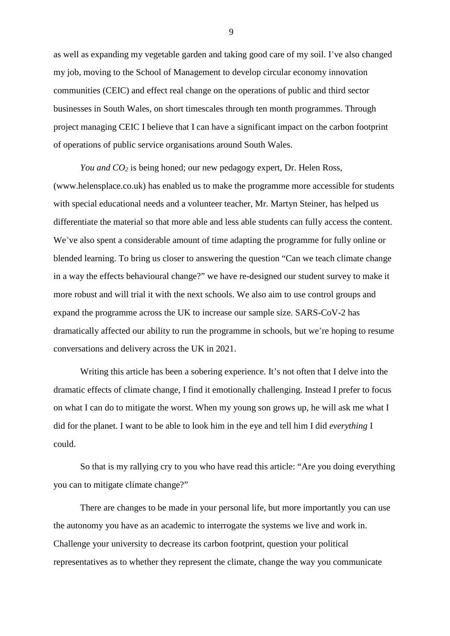as well as expanding my vegetable garden and taking good care of my soil. I've also changed my job, moving to the School of Management to develop circular economy innovation communities (CEIC) and effect real change on the operations of public and third sector businesses in South Wales, on short timescales through ten month programmes. Through project managing CEIC I believe that I can have a significant impact on the carbon footprint of operations of public service organisations around South Wales.

*You and CO2* is being honed; our new pedagogy expert, Dr. Helen Ross, (www.helensplace.co.uk) has enabled us to make the programme more accessible for students with special educational needs and a volunteer teacher, Mr. Martyn Steiner, has helped us differentiate the material so that more able and less able students can fully access the content. We've also spent a considerable amount of time adapting the programme for fully online or blended learning. To bring us closer to answering the question "Can we teach climate change in a way the effects behavioural change?" we have re-designed our student survey to make it more robust and will trial it with the next schools. We also aim to use control groups and expand the programme across the UK to increase our sample size. SARS-CoV-2 has dramatically affected our ability to run the programme in schools, but we're hoping to resume conversations and delivery across the UK in 2021.

Writing this article has been a sobering experience. It's not often that I delve into the dramatic effects of climate change, I find it emotionally challenging. Instead I prefer to focus on what I can do to mitigate the worst. When my young son grows up, he will ask me what I did for the planet. I want to be able to look him in the eye and tell him I did *everything* I could.

So that is my rallying cry to you who have read this article: "Are you doing everything you can to mitigate climate change?"

There are changes to be made in your personal life, but more importantly you can use the autonomy you have as an academic to interrogate the systems we live and work in. Challenge your university to decrease its carbon footprint, question your political representatives as to whether they represent the climate, change the way you communicate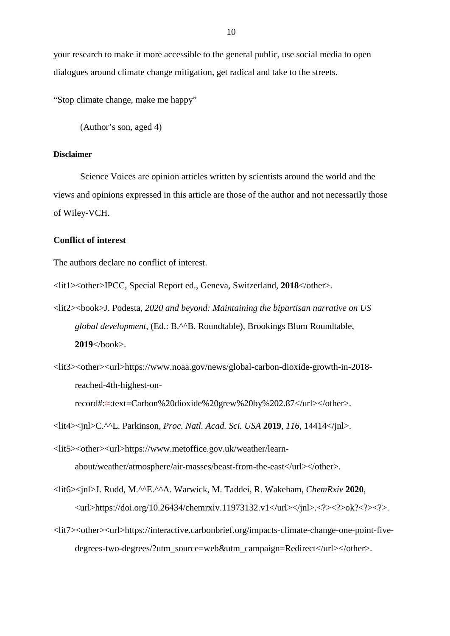your research to make it more accessible to the general public, use social media to open dialogues around climate change mitigation, get radical and take to the streets.

"Stop climate change, make me happy"

(Author's son, aged 4)

### **Disclaimer**

Science Voices are opinion articles written by scientists around the world and the views and opinions expressed in this article are those of the author and not necessarily those of Wiley-VCH.

### **Conflict of interest**

The authors declare no conflict of interest.

<lit1><other>IPCC, Special Report ed., Geneva, Switzerland, **2018**</other>.

- <lit2><book>J. Podesta, *2020 and beyond: Maintaining the bipartisan narrative on US global development*, (Ed.: B.^^B. Roundtable), Brookings Blum Roundtable, **2019**</book>.
- <lit3><other><url>https://www.noaa.gov/news/global-carbon-dioxide-growth-in-2018 reached-4th-highest-onrecord#:≈:text=Carbon%20dioxide%20grew%20by%202.87</url></other>.

<lit4><jnl>C.^^L. Parkinson, *Proc. Natl. Acad. Sci. USA* **2019**, *116*, 14414</jnl>.

- <lit5><other><url>https://www.metoffice.gov.uk/weather/learnabout/weather/atmosphere/air-masses/beast-from-the-east</url></other>.
- <lit6><jnl>J. Rudd, M.^^E.^^A. Warwick, M. Taddei, R. Wakeham, *ChemRxiv* **2020**,  $\langle \text{url}> \text{https://doi.org/10.26434/chemistry.11973132.v1}\langle \text{url}> \langle \text{ln1}> \langle \text{?}> \rangle \text{ok?}\langle \text{?}> \rangle.$
- <lit7><other><url>https://interactive.carbonbrief.org/impacts-climate-change-one-point-fivedegrees-two-degrees/?utm\_source=web&utm\_campaign=Redirect</url></other>.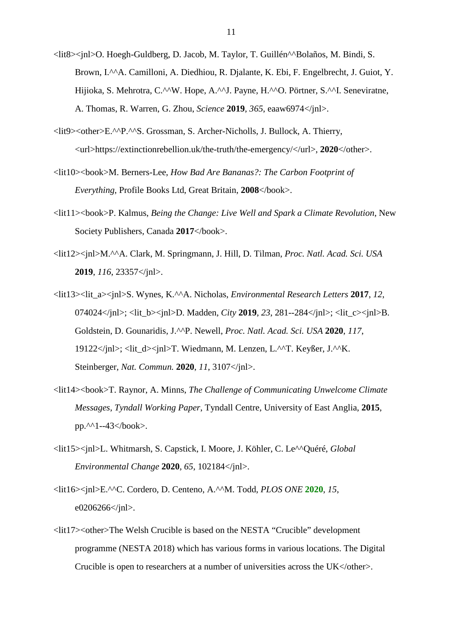- <lit8><jnl>O. Hoegh-Guldberg, D. Jacob, M. Taylor, T. Guillén^^Bolaños, M. Bindi, S. Brown, I.<sup>^^</sup>A. Camilloni, A. Diedhiou, R. Dialante, K. Ebi, F. Engelbrecht, J. Guiot, Y. Hijioka, S. Mehrotra, C.^^W. Hope, A.^^J. Payne, H.^^O. Pörtner, S.^^I. Seneviratne, A. Thomas, R. Warren, G. Zhou, *Science* **2019**, *365*, eaaw6974</jnl>.
- <lit9><other>E.^^P.^^S. Grossman, S. Archer-Nicholls, J. Bullock, A. Thierry, <url>https://extinctionrebellion.uk/the-truth/the-emergency/</url>, **2020**</other>.
- <lit10><book>M. Berners-Lee, *How Bad Are Bananas?: The Carbon Footprint of Everything*, Profile Books Ltd, Great Britain, **2008**</book>.
- <lit11><book>P. Kalmus, *Being the Change: Live Well and Spark a Climate Revolution*, New Society Publishers, Canada 2017</book>.
- <lit12><jnl>M.^^A. Clark, M. Springmann, J. Hill, D. Tilman, *Proc. Natl. Acad. Sci. USA* **2019**, *116*, 23357</jnl>.
- <lit13><lit\_a><jnl>S. Wynes, K.^^A. Nicholas, *Environmental Research Letters* **2017**, *12*, 074024</inl>: <lit\_b>>inl>D. Madden, *City* **2019**, 23, 281--284</inl>: <lit\_c>>inl>B. Goldstein, D. Gounaridis, J.^^P. Newell, *Proc. Natl. Acad. Sci. USA* **2020**, *117*, 19122</jnl>; <lit\_d><jnl>T. Wiedmann, M. Lenzen, L.^^T. Keyßer, J.^^K. Steinberger, *Nat. Commun.* **2020**, *11*, 3107</jnl>.
- <lit14><book>T. Raynor, A. Minns, *The Challenge of Communicating Unwelcome Climate Messages*, *Tyndall Working Paper*, Tyndall Centre, University of East Anglia, **2015**, pp.^^1--43</book>.
- <lit15><jnl>L. Whitmarsh, S. Capstick, I. Moore, J. Köhler, C. Le^^Quéré, *Global Environmental Change* **2020**, *65*, 102184</jnl>.
- <lit16><jnl>E.^^C. Cordero, D. Centeno, A.^^M. Todd, *PLOS ONE* **2020**, *15*, e0206266</jnl>.
- <lit17><other>The Welsh Crucible is based on the NESTA "Crucible" development programme (NESTA 2018) which has various forms in various locations. The Digital Crucible is open to researchers at a number of universities across the UK</other>.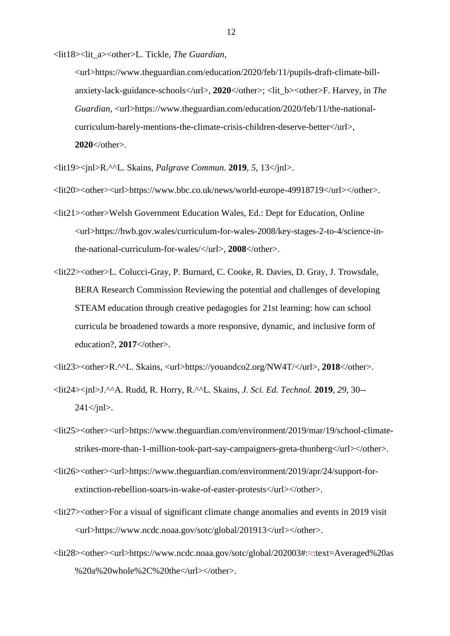<lit18><lit\_a><other>L. Tickle, *The Guardian*,

<url>https://www.theguardian.com/education/2020/feb/11/pupils-draft-climate-billanxiety-lack-guidance-schools</url>, **2020**</other>; <lit\_b><other>F. Harvey, in *The Guardian*, <url>https://www.theguardian.com/education/2020/feb/11/the-nationalcurriculum-barely-mentions-the-climate-crisis-children-deserve-better</url>, **2020**</other>.

<lit19><jnl>R.^^L. Skains, *Palgrave Commun.* **2019**, *5*, 13</jnl>.

<lit20><other><url>https://www.bbc.co.uk/news/world-europe-49918719</url></other>.

- <lit21><other>Welsh Government Education Wales, Ed.: Dept for Education, Online <url>https://hwb.gov.wales/curriculum-for-wales-2008/key-stages-2-to-4/science-inthe-national-curriculum-for-wales/</url>, **2008**</other>.
- <lit22><other>L. Colucci-Gray, P. Burnard, C. Cooke, R. Davies, D. Gray, J. Trowsdale, BERA Research Commission Reviewing the potential and challenges of developing STEAM education through creative pedagogies for 21st learning: how can school curricula be broadened towards a more responsive, dynamic, and inclusive form of education?, **2017**</other>.

<lit23><other>R.^^L. Skains, <url>https://youandco2.org/NW4T/</url>, **2018**</other>.

- <lit24><jnl>J.^^A. Rudd, R. Horry, R.^^L. Skains, *J. Sci. Ed. Technol.* **2019**, *29*, 30--  $241 \le \gamma$ inl $>$ .
- <lit25><other><url>https://www.theguardian.com/environment/2019/mar/19/school-climatestrikes-more-than-1-million-took-part-say-campaigners-greta-thunberg</url></other>.
- <lit26><other><url>https://www.theguardian.com/environment/2019/apr/24/support-forextinction-rebellion-soars-in-wake-of-easter-protests</url></other>.
- $\langle$ lit27 $>$ other $>$ For a visual of significant climate change anomalies and events in 2019 visit <url>https://www.ncdc.noaa.gov/sotc/global/201913</url></other>.
- <lit28><other><url>https://www.ncdc.noaa.gov/sotc/global/202003#:≈:text=Averaged%20as %20a%20whole%2C%20the</url></other>.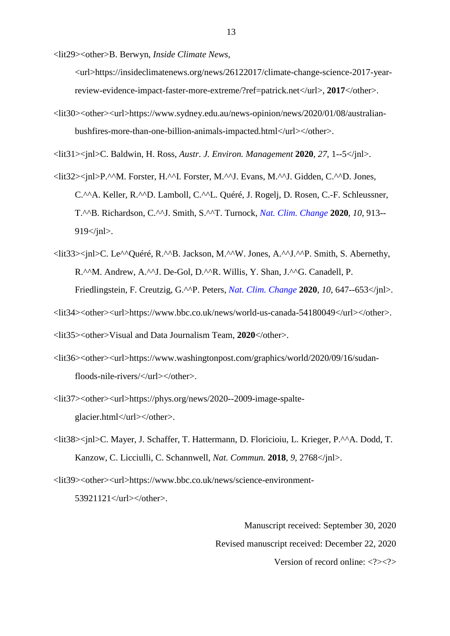<lit29><other>B. Berwyn, *Inside Climate News*,

<url>https://insideclimatenews.org/news/26122017/climate-change-science-2017-yearreview-evidence-impact-faster-more-extreme/?ref=patrick.net</url>, **2017**</other>.

<lit30><other><url>https://www.sydney.edu.au/news-opinion/news/2020/01/08/australianbushfires-more-than-one-billion-animals-impacted.html</url></other>.

<lit31><jnl>C. Baldwin, H. Ross, *Austr. J. Environ. Management* **2020**, *27*, 1--5</jnl>.

- <lit32><jnl>P.^^M. Forster, H.^^I. Forster, M.^^J. Evans, M.^^J. Gidden, C.^^D. Jones, C.^^A. Keller, R.^^D. Lamboll, C.^^L. Quéré, J. Rogelj, D. Rosen, C.-F. Schleussner, T.^^B. Richardson, C.^^J. Smith, S.^^T. Turnock, *Nat. Clim. Change* **2020**, *10*, 913--  $919$   $\frac{\text{ln}}{2}$ .
- <lit33><jnl>C. Le^^Quéré, R.^^B. Jackson, M.^^W. Jones, A.^^J.^^P. Smith, S. Abernethy, R.<sup>^^</sup>M. Andrew, A.<sup>^^</sup>J. De-Gol, D.<sup>^^</sup>R. Willis, Y. Shan, J.<sup>^^</sup>G. Canadell, P. Friedlingstein, F. Creutzig, G.^^P. Peters, *Nat. Clim. Change* **2020**, *10*, 647--653</jnl>.
- <lit34><other><url>https://www.bbc.co.uk/news/world-us-canada-54180049</url></other>.

<lit35><other>Visual and Data Journalism Team, **2020**</other>.

- <lit36><other><url>https://www.washingtonpost.com/graphics/world/2020/09/16/sudanfloods-nile-rivers/</url></other>.
- <lit37><other><url>https://phys.org/news/2020--2009-image-spalteglacier.html</url></other>.
- <lit38><jnl>C. Mayer, J. Schaffer, T. Hattermann, D. Floricioiu, L. Krieger, P.^^A. Dodd, T. Kanzow, C. Licciulli, C. Schannwell, *Nat. Commun.* **2018**, *9*, 2768</jnl>.

<lit39><other><url>https://www.bbc.co.uk/news/science-environment-53921121</url></other>.

> Manuscript received: September 30, 2020 Revised manuscript received: December 22, 2020 Version of record online: <?><?>